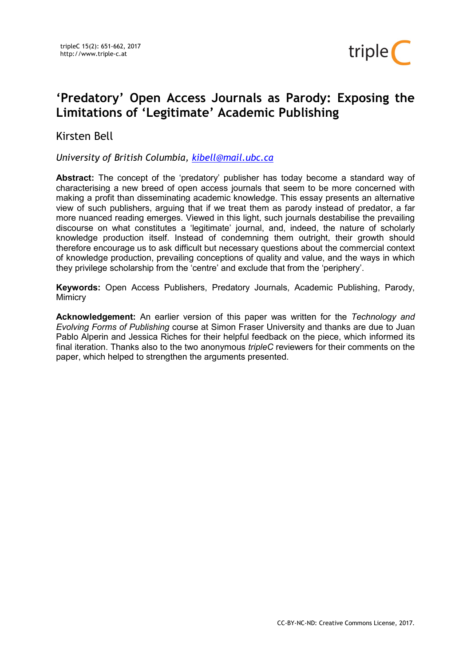

# 'Predatory' Open Access Journals as Parody: Exposing the Limitations of 'Legitimate' Academic Publishing

## Kirsten Bell

University of British Columbia, kibell@mail.ubc.ca

Abstract: The concept of the 'predatory' publisher has today become a standard way of characterising a new breed of open access journals that seem to be more concerned with making a profit than disseminating academic knowledge. This essay presents an alternative view of such publishers, arguing that if we treat them as parody instead of predator, a far more nuanced reading emerges. Viewed in this light, such journals destabilise the prevailing discourse on what constitutes a 'legitimate' journal, and, indeed, the nature of scholarly knowledge production itself. Instead of condemning them outright, their growth should therefore encourage us to ask difficult but necessary questions about the commercial context of knowledge production, prevailing conceptions of quality and value, and the ways in which they privilege scholarship from the 'centre' and exclude that from the 'periphery'.

Keywords: Open Access Publishers, Predatory Journals, Academic Publishing, Parody, **Mimicry** 

**Acknowledgement:** An earlier version of this paper was written for the Technology and Evolving Forms of Publishing course at Simon Fraser University and thanks are due to Juan Pablo Alperin and Jessica Riches for their helpful feedback on the piece, which informed its final iteration. Thanks also to the two anonymous *tripleC* reviewers for their comments on the paper, which helped to strengthen the arguments presented.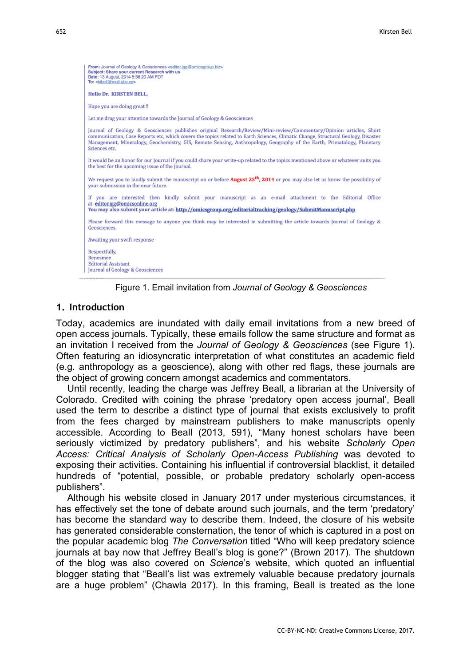```
From: Journal of Geology & Geosciences <editor.jgg@omicsgroup.biz><br>Subject: Share your current Research with us<br>Date: 13 August, 2014 5:58:20 AM PDT
To: <kibell@mail.ubc.ca>
Hello Dr. KIRSTEN BELL
Hope you are doing great !!
Let me drag your attention towards the Journal of Geology & Geosciences
Journal of Geology & Geosciences publishes original Research/Review/Mini-review/Commentary/Opinion articles, Short
communication. Case Reports etc. which covers the topics related to Earth Sciences. Climatic Change, Structural Geology, Disaster
Management, Mineralogy, Geochemistry, GIS, Remote Sensing, Anthropology, Geography of the Earth, Primatology, Planetary
Sciences etc.
It would be an honor for our Journal if you could share your write-up related to the topics mentioned above or whatever suits you
the best for the upcoming issue of the Journal.
We request you to kindly submit the manuscript on or before August 25<sup>th</sup>, 2014 or you may also let us know the possibility of
vour submission in the near future.
If you are interested then kindly submit your manuscript as an e-mail attachment to the Editorial Office
at: editor.jgg@omicsonline.org
You may also submit your article at: http://omicsgroup.org/editorialtracking/geology/SubmitManuscript.php
Please forward this message to anyone you think may be interested in submitting the article towards Journal of Geology &
Geosciences.
Awaiting your swift response
Respectfully,
Renesmee
Editorial Assistant
Journal of Geology & Geosciences
```
Figure 1. Email invitation from Journal of Geology & Geosciences

## 1. Introduction

Today, academics are inundated with daily email invitations from a new breed of open access journals. Typically, these emails follow the same structure and format as an invitation I received from the Journal of Geology & Geosciences (see Figure 1). Often featuring an idiosyncratic interpretation of what constitutes an academic field (e.g. anthropology as a geoscience), along with other red flags, these journals are the object of growing concern amongst academics and commentators.

Until recently, leading the charge was Jeffrey Beall, a librarian at the University of Colorado. Credited with coining the phrase 'predatory open access journal', Beall used the term to describe a distinct type of journal that exists exclusively to profit from the fees charged by mainstream publishers to make manuscripts openly accessible. According to Beall (2013, 591), "Many honest scholars have been seriously victimized by predatory publishers", and his website Scholarly Open Access: Critical Analysis of Scholarly Open-Access Publishing was devoted to exposing their activities. Containing his influential if controversial blacklist, it detailed hundreds of "potential, possible, or probable predatory scholarly open-access publishers".

Although his website closed in January 2017 under mysterious circumstances, it has effectively set the tone of debate around such journals, and the term 'predatory' has become the standard way to describe them. Indeed, the closure of his website has generated considerable consternation, the tenor of which is captured in a post on the popular academic blog The Conversation titled "Who will keep predatory science journals at bay now that Jeffrey Beall's blog is gone?" (Brown 2017). The shutdown of the blog was also covered on Science's website, which quoted an influential blogger stating that "Beall's list was extremely valuable because predatory journals are a huge problem" (Chawla 2017). In this framing, Beall is treated as the lone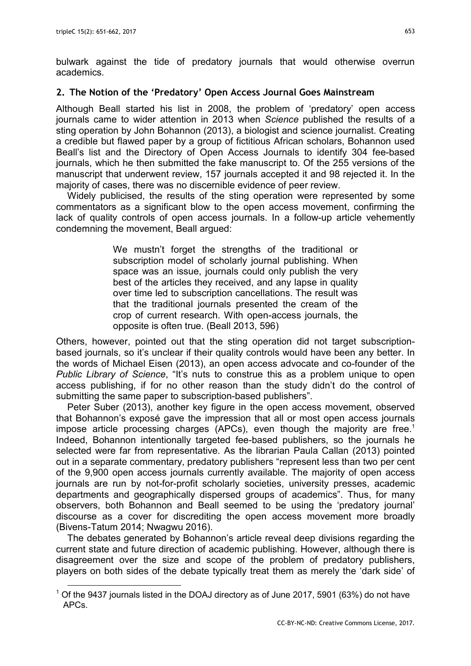$\overline{a}$ 

bulwark against the tide of predatory journals that would otherwise overrun academics.

## 2. The Notion of the 'Predatory' Open Access Journal Goes Mainstream

Although Beall started his list in 2008, the problem of 'predatory' open access journals came to wider attention in 2013 when Science published the results of a sting operation by John Bohannon (2013), a biologist and science journalist. Creating a credible but flawed paper by a group of fictitious African scholars, Bohannon used Beall's list and the Directory of Open Access Journals to identify 304 fee-based journals, which he then submitted the fake manuscript to. Of the 255 versions of the manuscript that underwent review, 157 journals accepted it and 98 rejected it. In the majority of cases, there was no discernible evidence of peer review.

Widely publicised, the results of the sting operation were represented by some commentators as a significant blow to the open access movement, confirming the lack of quality controls of open access journals. In a follow-up article vehemently condemning the movement, Beall argued:

> We mustn't forget the strengths of the traditional or subscription model of scholarly journal publishing. When space was an issue, journals could only publish the very best of the articles they received, and any lapse in quality over time led to subscription cancellations. The result was that the traditional journals presented the cream of the crop of current research. With open-access journals, the opposite is often true. (Beall 2013, 596)

Others, however, pointed out that the sting operation did not target subscriptionbased journals, so it's unclear if their quality controls would have been any better. In the words of Michael Eisen (2013), an open access advocate and co-founder of the Public Library of Science, "It's nuts to construe this as a problem unique to open access publishing, if for no other reason than the study didn't do the control of submitting the same paper to subscription-based publishers".

Peter Suber (2013), another key figure in the open access movement, observed that Bohannon's exposé gave the impression that all or most open access journals impose article processing charges (APCs), even though the majority are free.<sup>1</sup> Indeed, Bohannon intentionally targeted fee-based publishers, so the journals he selected were far from representative. As the librarian Paula Callan (2013) pointed out in a separate commentary, predatory publishers "represent less than two per cent of the 9,900 open access journals currently available. The majority of open access journals are run by not-for-profit scholarly societies, university presses, academic departments and geographically dispersed groups of academics". Thus, for many observers, both Bohannon and Beall seemed to be using the 'predatory journal' discourse as a cover for discrediting the open access movement more broadly (Bivens-Tatum 2014; Nwagwu 2016).

The debates generated by Bohannon's article reveal deep divisions regarding the current state and future direction of academic publishing. However, although there is disagreement over the size and scope of the problem of predatory publishers, players on both sides of the debate typically treat them as merely the 'dark side' of

 $^1$  Of the 9437 journals listed in the DOAJ directory as of June 2017, 5901 (63%) do not have APCs.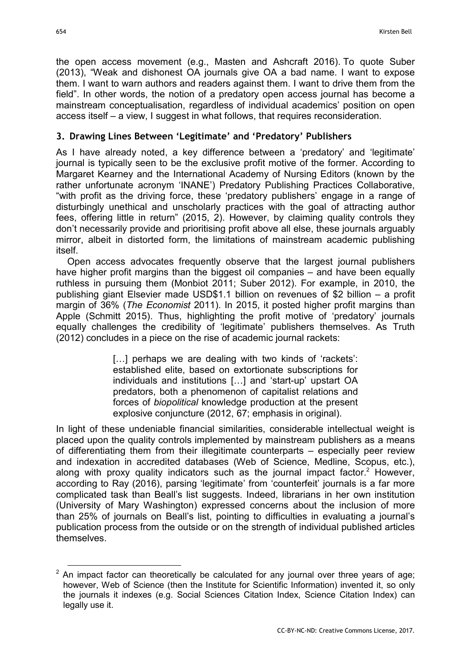the open access movement (e.g., Masten and Ashcraft 2016). To quote Suber (2013), "Weak and dishonest OA journals give OA a bad name. I want to expose them. I want to warn authors and readers against them. I want to drive them from the field". In other words, the notion of a predatory open access journal has become a mainstream conceptualisation, regardless of individual academics' position on open access itself – a view, I suggest in what follows, that requires reconsideration.

## 3. Drawing Lines Between 'Legitimate' and 'Predatory' Publishers

As I have already noted, a key difference between a 'predatory' and 'legitimate' journal is typically seen to be the exclusive profit motive of the former. According to Margaret Kearney and the International Academy of Nursing Editors (known by the rather unfortunate acronym 'INANE') Predatory Publishing Practices Collaborative, "with profit as the driving force, these 'predatory publishers' engage in a range of disturbingly unethical and unscholarly practices with the goal of attracting author fees, offering little in return" (2015, 2). However, by claiming quality controls they don't necessarily provide and prioritising profit above all else, these journals arguably mirror, albeit in distorted form, the limitations of mainstream academic publishing itself.

Open access advocates frequently observe that the largest journal publishers have higher profit margins than the biggest oil companies – and have been equally ruthless in pursuing them (Monbiot 2011; Suber 2012). For example, in 2010, the publishing giant Elsevier made USD\$1.1 billion on revenues of \$2 billion – a profit margin of 36% (The Economist 2011). In 2015, it posted higher profit margins than Apple (Schmitt 2015). Thus, highlighting the profit motive of 'predatory' journals equally challenges the credibility of 'legitimate' publishers themselves. As Truth (2012) concludes in a piece on the rise of academic journal rackets:

> [...] perhaps we are dealing with two kinds of 'rackets': established elite, based on extortionate subscriptions for individuals and institutions […] and 'start-up' upstart OA predators, both a phenomenon of capitalist relations and forces of biopolitical knowledge production at the present explosive conjuncture (2012, 67; emphasis in original).

In light of these undeniable financial similarities, considerable intellectual weight is placed upon the quality controls implemented by mainstream publishers as a means of differentiating them from their illegitimate counterparts – especially peer review and indexation in accredited databases (Web of Science, Medline, Scopus, etc.), along with proxy quality indicators such as the journal impact factor.<sup>2</sup> However, according to Ray (2016), parsing 'legitimate' from 'counterfeit' journals is a far more complicated task than Beall's list suggests. Indeed, librarians in her own institution (University of Mary Washington) expressed concerns about the inclusion of more than 25% of journals on Beall's list, pointing to difficulties in evaluating a journal's publication process from the outside or on the strength of individual published articles themselves.

 $2$  An impact factor can theoretically be calculated for any journal over three years of age; however, Web of Science (then the Institute for Scientific Information) invented it, so only the journals it indexes (e.g. Social Sciences Citation Index, Science Citation Index) can legally use it.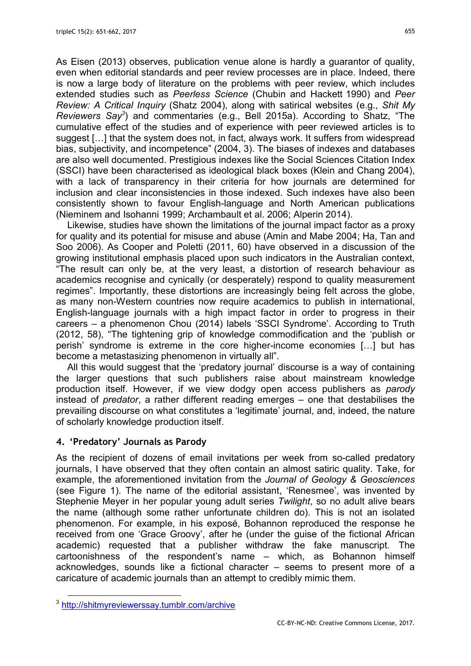As Eisen (2013) observes, publication venue alone is hardly a guarantor of quality, even when editorial standards and peer review processes are in place. Indeed, there is now a large body of literature on the problems with peer review, which includes extended studies such as Peerless Science (Chubin and Hackett 1990) and Peer Review: A Critical Inquiry (Shatz 2004), along with satirical websites (e.g., Shit My Reviewers Say<sup>3</sup>) and commentaries (e.g., Bell 2015a). According to Shatz, "The cumulative effect of the studies and of experience with peer reviewed articles is to suggest […] that the system does not, in fact, always work. It suffers from widespread bias, subjectivity, and incompetence" (2004, 3). The biases of indexes and databases are also well documented. Prestigious indexes like the Social Sciences Citation Index (SSCI) have been characterised as ideological black boxes (Klein and Chang 2004), with a lack of transparency in their criteria for how journals are determined for inclusion and clear inconsistencies in those indexed. Such indexes have also been consistently shown to favour English-language and North American publications (Nieminem and Isohanni 1999; Archambault et al. 2006; Alperin 2014).

Likewise, studies have shown the limitations of the journal impact factor as a proxy for quality and its potential for misuse and abuse (Amin and Mabe 2004; Ha, Tan and Soo 2006). As Cooper and Poletti (2011, 60) have observed in a discussion of the growing institutional emphasis placed upon such indicators in the Australian context, "The result can only be, at the very least, a distortion of research behaviour as academics recognise and cynically (or desperately) respond to quality measurement regimes". Importantly, these distortions are increasingly being felt across the globe, as many non-Western countries now require academics to publish in international, English-language journals with a high impact factor in order to progress in their careers – a phenomenon Chou (2014) labels 'SSCI Syndrome'. According to Truth (2012, 58), "The tightening grip of knowledge commodification and the 'publish or perish' syndrome is extreme in the core higher-income economies […] but has become a metastasizing phenomenon in virtually all".

All this would suggest that the 'predatory journal' discourse is a way of containing the larger questions that such publishers raise about mainstream knowledge production itself. However, if we view dodgy open access publishers as parody instead of predator, a rather different reading emerges – one that destabilises the prevailing discourse on what constitutes a 'legitimate' journal, and, indeed, the nature of scholarly knowledge production itself.

## 4. 'Predatory' Journals as Parody

As the recipient of dozens of email invitations per week from so-called predatory journals, I have observed that they often contain an almost satiric quality. Take, for example, the aforementioned invitation from the Journal of Geology & Geosciences (see Figure 1). The name of the editorial assistant, 'Renesmee', was invented by Stephenie Meyer in her popular young adult series Twilight, so no adult alive bears the name (although some rather unfortunate children do). This is not an isolated phenomenon. For example, in his exposé, Bohannon reproduced the response he received from one 'Grace Groovy', after he (under the guise of the fictional African academic) requested that a publisher withdraw the fake manuscript. The cartoonishness of the respondent's name – which, as Bohannon himself acknowledges, sounds like a fictional character – seems to present more of a caricature of academic journals than an attempt to credibly mimic them.

<sup>3</sup> http://shitmyreviewerssay.tumblr.com/archive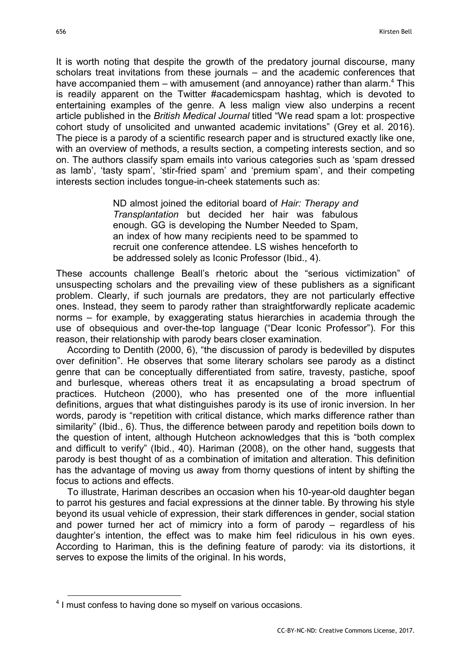It is worth noting that despite the growth of the predatory journal discourse, many scholars treat invitations from these journals – and the academic conferences that have accompanied them – with amusement (and annoyance) rather than alarm.<sup>4</sup> This is readily apparent on the Twitter #academicspam hashtag, which is devoted to entertaining examples of the genre. A less malign view also underpins a recent article published in the British Medical Journal titled "We read spam a lot: prospective cohort study of unsolicited and unwanted academic invitations" (Grey et al. 2016). The piece is a parody of a scientific research paper and is structured exactly like one, with an overview of methods, a results section, a competing interests section, and so on. The authors classify spam emails into various categories such as 'spam dressed as lamb', 'tasty spam', 'stir-fried spam' and 'premium spam', and their competing interests section includes tongue-in-cheek statements such as:

> ND almost joined the editorial board of Hair: Therapy and Transplantation but decided her hair was fabulous enough. GG is developing the Number Needed to Spam, an index of how many recipients need to be spammed to recruit one conference attendee. LS wishes henceforth to be addressed solely as Iconic Professor (Ibid., 4).

These accounts challenge Beall's rhetoric about the "serious victimization" of unsuspecting scholars and the prevailing view of these publishers as a significant problem. Clearly, if such journals are predators, they are not particularly effective ones. Instead, they seem to parody rather than straightforwardly replicate academic norms – for example, by exaggerating status hierarchies in academia through the use of obsequious and over-the-top language ("Dear Iconic Professor"). For this reason, their relationship with parody bears closer examination.

According to Dentith (2000, 6), "the discussion of parody is bedevilled by disputes over definition". He observes that some literary scholars see parody as a distinct genre that can be conceptually differentiated from satire, travesty, pastiche, spoof and burlesque, whereas others treat it as encapsulating a broad spectrum of practices. Hutcheon (2000), who has presented one of the more influential definitions, argues that what distinguishes parody is its use of ironic inversion. In her words, parody is "repetition with critical distance, which marks difference rather than similarity" (Ibid., 6). Thus, the difference between parody and repetition boils down to the question of intent, although Hutcheon acknowledges that this is "both complex and difficult to verify" (Ibid., 40). Hariman (2008), on the other hand, suggests that parody is best thought of as a combination of imitation and alteration. This definition has the advantage of moving us away from thorny questions of intent by shifting the focus to actions and effects.

To illustrate, Hariman describes an occasion when his 10-year-old daughter began to parrot his gestures and facial expressions at the dinner table. By throwing his style beyond its usual vehicle of expression, their stark differences in gender, social station and power turned her act of mimicry into a form of parody – regardless of his daughter's intention, the effect was to make him feel ridiculous in his own eyes. According to Hariman, this is the defining feature of parody: via its distortions, it serves to expose the limits of the original. In his words,

<sup>&</sup>lt;sup>4</sup> I must confess to having done so myself on various occasions.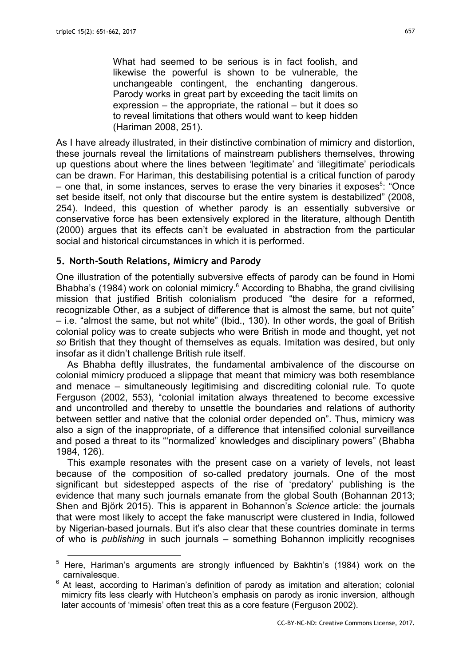$\overline{a}$ 

What had seemed to be serious is in fact foolish, and likewise the powerful is shown to be vulnerable, the unchangeable contingent, the enchanting dangerous. Parody works in great part by exceeding the tacit limits on expression – the appropriate, the rational – but it does so to reveal limitations that others would want to keep hidden (Hariman 2008, 251).

As I have already illustrated, in their distinctive combination of mimicry and distortion, these journals reveal the limitations of mainstream publishers themselves, throwing up questions about where the lines between 'legitimate' and 'illegitimate' periodicals can be drawn. For Hariman, this destabilising potential is a critical function of parody – one that, in some instances, serves to erase the very binaries it exposes<sup>5</sup>: "Once set beside itself, not only that discourse but the entire system is destabilized" (2008, 254). Indeed, this question of whether parody is an essentially subversive or conservative force has been extensively explored in the literature, although Dentith (2000) argues that its effects can't be evaluated in abstraction from the particular social and historical circumstances in which it is performed.

#### 5. North-South Relations, Mimicry and Parody

One illustration of the potentially subversive effects of parody can be found in Homi Bhabha's (1984) work on colonial mimicry.<sup>6</sup> According to Bhabha, the grand civilising mission that justified British colonialism produced "the desire for a reformed, recognizable Other, as a subject of difference that is almost the same, but not quite" – i.e. "almost the same, but not white" (Ibid., 130). In other words, the goal of British colonial policy was to create subjects who were British in mode and thought, yet not so British that they thought of themselves as equals. Imitation was desired, but only insofar as it didn't challenge British rule itself.

As Bhabha deftly illustrates, the fundamental ambivalence of the discourse on colonial mimicry produced a slippage that meant that mimicry was both resemblance and menace – simultaneously legitimising and discrediting colonial rule. To quote Ferguson (2002, 553), "colonial imitation always threatened to become excessive and uncontrolled and thereby to unsettle the boundaries and relations of authority between settler and native that the colonial order depended on". Thus, mimicry was also a sign of the inappropriate, of a difference that intensified colonial surveillance and posed a threat to its "'normalized' knowledges and disciplinary powers" (Bhabha 1984, 126).

This example resonates with the present case on a variety of levels, not least because of the composition of so-called predatory journals. One of the most significant but sidestepped aspects of the rise of 'predatory' publishing is the evidence that many such journals emanate from the global South (Bohannan 2013; Shen and Björk 2015). This is apparent in Bohannon's Science article: the journals that were most likely to accept the fake manuscript were clustered in India, followed by Nigerian-based journals. But it's also clear that these countries dominate in terms of who is publishing in such journals – something Bohannon implicitly recognises

 $5$  Here, Hariman's arguments are strongly influenced by Bakhtin's (1984) work on the carnivalesque.

 $6$  At least, according to Hariman's definition of parody as imitation and alteration; colonial mimicry fits less clearly with Hutcheon's emphasis on parody as ironic inversion, although later accounts of 'mimesis' often treat this as a core feature (Ferguson 2002).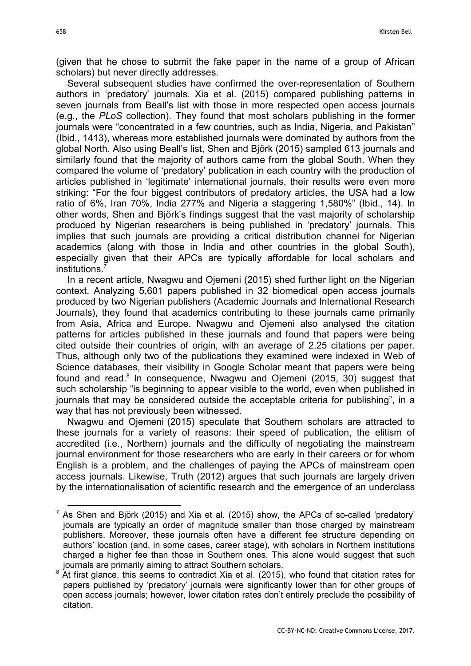(given that he chose to submit the fake paper in the name of a group of African scholars) but never directly addresses.

Several subsequent studies have confirmed the over-representation of Southern authors in 'predatory' journals. Xia et al. (2015) compared publishing patterns in seven journals from Beall's list with those in more respected open access journals (e.g., the PLoS collection). They found that most scholars publishing in the former journals were "concentrated in a few countries, such as India, Nigeria, and Pakistan" (Ibid., 1413), whereas more established journals were dominated by authors from the global North. Also using Beall's list, Shen and Björk (2015) sampled 613 journals and similarly found that the majority of authors came from the global South. When they compared the volume of 'predatory' publication in each country with the production of articles published in 'legitimate' international journals, their results were even more striking: "For the four biggest contributors of predatory articles, the USA had a low ratio of 6%, Iran 70%, India 277% and Nigeria a staggering 1,580%" (Ibid., 14). In other words, Shen and Björk's findings suggest that the vast majority of scholarship produced by Nigerian researchers is being published in 'predatory' journals. This implies that such journals are providing a critical distribution channel for Nigerian academics (along with those in India and other countries in the global South), especially given that their APCs are typically affordable for local scholars and institutions.

In a recent article, Nwagwu and Ojemeni (2015) shed further light on the Nigerian context. Analyzing 5,601 papers published in 32 biomedical open access journals produced by two Nigerian publishers (Academic Journals and International Research Journals), they found that academics contributing to these journals came primarily from Asia, Africa and Europe. Nwagwu and Ojemeni also analysed the citation patterns for articles published in these journals and found that papers were being cited outside their countries of origin, with an average of 2.25 citations per paper. Thus, although only two of the publications they examined were indexed in Web of Science databases, their visibility in Google Scholar meant that papers were being found and read.<sup>8</sup> In consequence, Nwagwu and Ojemeni (2015, 30) suggest that such scholarship "is beginning to appear visible to the world, even when published in journals that may be considered outside the acceptable criteria for publishing", in a way that has not previously been witnessed.

Nwagwu and Ojemeni (2015) speculate that Southern scholars are attracted to these journals for a variety of reasons: their speed of publication, the elitism of accredited (i.e., Northern) journals and the difficulty of negotiating the mainstream journal environment for those researchers who are early in their careers or for whom English is a problem, and the challenges of paying the APCs of mainstream open access journals. Likewise, Truth (2012) argues that such journals are largely driven by the internationalisation of scientific research and the emergence of an underclass

<sup>&</sup>lt;sup>7</sup> As Shen and Björk (2015) and Xia et al. (2015) show, the APCs of so-called 'predatory' journals are typically an order of magnitude smaller than those charged by mainstream publishers. Moreover, these journals often have a different fee structure depending on authors' location (and, in some cases, career stage), with scholars in Northern institutions charged a higher fee than those in Southern ones. This alone would suggest that such journals are primarily aiming to attract Southern scholars.

<sup>&</sup>lt;sup>8</sup> At first glance, this seems to contradict Xia et al. (2015), who found that citation rates for papers published by 'predatory' journals were significantly lower than for other groups of open access journals; however, lower citation rates don't entirely preclude the possibility of citation.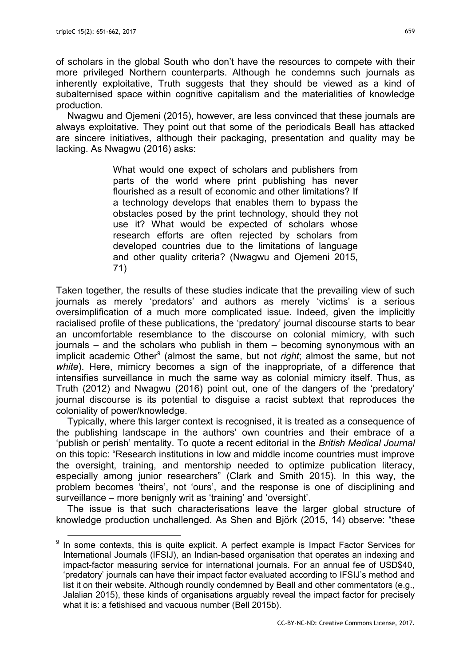of scholars in the global South who don't have the resources to compete with their more privileged Northern counterparts. Although he condemns such journals as inherently exploitative, Truth suggests that they should be viewed as a kind of subalternised space within cognitive capitalism and the materialities of knowledge production.

Nwagwu and Ojemeni (2015), however, are less convinced that these journals are always exploitative. They point out that some of the periodicals Beall has attacked are sincere initiatives, although their packaging, presentation and quality may be lacking. As Nwagwu (2016) asks:

> What would one expect of scholars and publishers from parts of the world where print publishing has never flourished as a result of economic and other limitations? If a technology develops that enables them to bypass the obstacles posed by the print technology, should they not use it? What would be expected of scholars whose research efforts are often rejected by scholars from developed countries due to the limitations of language and other quality criteria? (Nwagwu and Ojemeni 2015, 71)

Taken together, the results of these studies indicate that the prevailing view of such journals as merely 'predators' and authors as merely 'victims' is a serious oversimplification of a much more complicated issue. Indeed, given the implicitly racialised profile of these publications, the 'predatory' journal discourse starts to bear an uncomfortable resemblance to the discourse on colonial mimicry, with such journals – and the scholars who publish in them – becoming synonymous with an implicit academic Other<sup>9</sup> (almost the same, but not *right*; almost the same, but not white). Here, mimicry becomes a sign of the inappropriate, of a difference that intensifies surveillance in much the same way as colonial mimicry itself. Thus, as Truth (2012) and Nwagwu (2016) point out, one of the dangers of the 'predatory' journal discourse is its potential to disguise a racist subtext that reproduces the coloniality of power/knowledge.

Typically, where this larger context is recognised, it is treated as a consequence of the publishing landscape in the authors' own countries and their embrace of a 'publish or perish' mentality. To quote a recent editorial in the British Medical Journal on this topic: "Research institutions in low and middle income countries must improve the oversight, training, and mentorship needed to optimize publication literacy, especially among junior researchers" (Clark and Smith 2015). In this way, the problem becomes 'theirs', not 'ours', and the response is one of disciplining and surveillance – more benignly writ as 'training' and 'oversight'.

The issue is that such characterisations leave the larger global structure of knowledge production unchallenged. As Shen and Björk (2015, 14) observe: "these

 $\overline{a}$ <sup>9</sup> In some contexts, this is quite explicit. A perfect example is Impact Factor Services for International Journals (IFSIJ), an Indian-based organisation that operates an indexing and impact-factor measuring service for international journals. For an annual fee of USD\$40, 'predatory' journals can have their impact factor evaluated according to IFSIJ's method and list it on their website. Although roundly condemned by Beall and other commentators (e.g., Jalalian 2015), these kinds of organisations arguably reveal the impact factor for precisely what it is: a fetishised and vacuous number (Bell 2015b).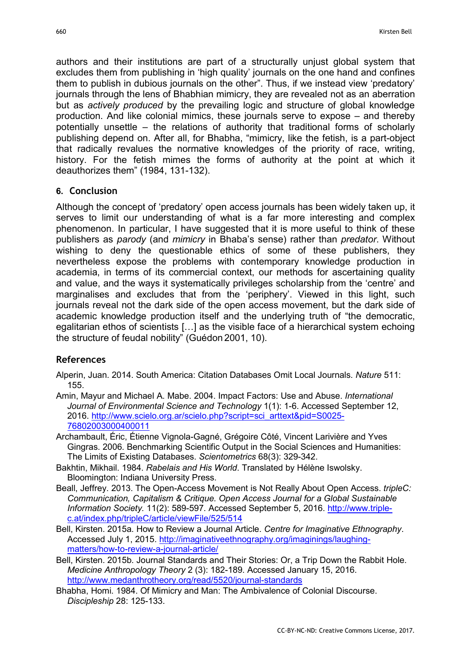authors and their institutions are part of a structurally unjust global system that excludes them from publishing in 'high quality' journals on the one hand and confines them to publish in dubious journals on the other". Thus, if we instead view 'predatory' journals through the lens of Bhabhian mimicry, they are revealed not as an aberration but as actively produced by the prevailing logic and structure of global knowledge production. And like colonial mimics, these journals serve to expose – and thereby potentially unsettle – the relations of authority that traditional forms of scholarly publishing depend on. After all, for Bhabha, "mimicry, like the fetish, is a part-object that radically revalues the normative knowledges of the priority of race, writing, history. For the fetish mimes the forms of authority at the point at which it deauthorizes them" (1984, 131-132).

## 6. Conclusion

Although the concept of 'predatory' open access journals has been widely taken up, it serves to limit our understanding of what is a far more interesting and complex phenomenon. In particular, I have suggested that it is more useful to think of these publishers as parody (and *mimicry* in Bhaba's sense) rather than *predator*. Without wishing to deny the questionable ethics of some of these publishers, they nevertheless expose the problems with contemporary knowledge production in academia, in terms of its commercial context, our methods for ascertaining quality and value, and the ways it systematically privileges scholarship from the 'centre' and marginalises and excludes that from the 'periphery'. Viewed in this light, such journals reveal not the dark side of the open access movement, but the dark side of academic knowledge production itself and the underlying truth of "the democratic, egalitarian ethos of scientists […] as the visible face of a hierarchical system echoing the structure of feudal nobility" (Guédon 2001, 10).

## References

- Alperin, Juan. 2014. South America: Citation Databases Omit Local Journals. Nature 511: 155.
- Amin, Mayur and Michael A. Mabe. 2004. Impact Factors: Use and Abuse. International Journal of Environmental Science and Technology 1(1): 1-6. Accessed September 12, 2016. http://www.scielo.org.ar/scielo.php?script=sci\_arttext&pid=S0025- 76802003000400011
- Archambault, Éric, Étienne Vignola-Gagné, Grégoire Côté, Vincent Larivière and Yves Gingras. 2006. Benchmarking Scientific Output in the Social Sciences and Humanities: The Limits of Existing Databases. Scientometrics 68(3): 329-342.
- Bakhtin, Mikhail. 1984. Rabelais and His World. Translated by Hélène Iswolsky. Bloomington: Indiana University Press.
- Beall, Jeffrey. 2013. The Open-Access Movement is Not Really About Open Access. tripleC: Communication, Capitalism & Critique. Open Access Journal for a Global Sustainable Information Society. 11(2): 589-597. Accessed September 5, 2016. http://www.triplec.at/index.php/tripleC/article/viewFile/525/514
- Bell, Kirsten. 2015a. How to Review a Journal Article. Centre for Imaginative Ethnography. Accessed July 1, 2015. http://imaginativeethnography.org/imaginings/laughingmatters/how-to-review-a-journal-article/
- Bell, Kirsten. 2015b. Journal Standards and Their Stories: Or, a Trip Down the Rabbit Hole. Medicine Anthropology Theory 2 (3): 182-189. Accessed January 15, 2016. http://www.medanthrotheory.org/read/5520/journal-standards
- Bhabha, Homi. 1984. Of Mimicry and Man: The Ambivalence of Colonial Discourse. Discipleship 28: 125-133.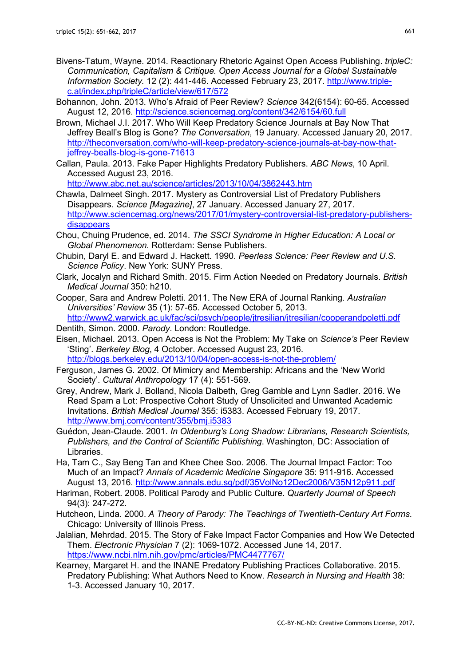- Bivens-Tatum, Wayne. 2014. Reactionary Rhetoric Against Open Access Publishing. tripleC: Communication, Capitalism & Critique. Open Access Journal for a Global Sustainable Information Society. 12 (2): 441-446. Accessed February 23, 2017. http://www.triplec.at/index.php/tripleC/article/view/617/572
- Bohannon, John. 2013. Who's Afraid of Peer Review? Science 342(6154): 60-65. Accessed August 12, 2016. http://science.sciencemag.org/content/342/6154/60.full
- Brown, Michael J.I. 2017. Who Will Keep Predatory Science Journals at Bay Now That Jeffrey Beall's Blog is Gone? The Conversation, 19 January. Accessed January 20, 2017. http://theconversation.com/who-will-keep-predatory-science-journals-at-bay-now-thatjeffrey-bealls-blog-is-gone-71613
- Callan, Paula. 2013. Fake Paper Highlights Predatory Publishers. ABC News, 10 April. Accessed August 23, 2016.

http://www.abc.net.au/science/articles/2013/10/04/3862443.htm

- Chawla, Dalmeet Singh. 2017. Mystery as Controversial List of Predatory Publishers Disappears. Science [Magazine], 27 January. Accessed January 27, 2017. http://www.sciencemag.org/news/2017/01/mystery-controversial-list-predatory-publishersdisappears
- Chou, Chuing Prudence, ed. 2014. The SSCI Syndrome in Higher Education: A Local or Global Phenomenon. Rotterdam: Sense Publishers.
- Chubin, Daryl E. and Edward J. Hackett. 1990. Peerless Science: Peer Review and U.S. Science Policy. New York: SUNY Press.
- Clark, Jocalyn and Richard Smith. 2015. Firm Action Needed on Predatory Journals. British Medical Journal 350: h210.
- Cooper, Sara and Andrew Poletti. 2011. The New ERA of Journal Ranking. Australian Universities' Review 35 (1): 57-65. Accessed October 5, 2013. http://www2.warwick.ac.uk/fac/sci/psych/people/jtresilian/jtresilian/cooperandpoletti.pdf
- Dentith, Simon. 2000. Parody. London: Routledge.
- Eisen, Michael. 2013. Open Access is Not the Problem: My Take on Science's Peer Review 'Sting'. Berkeley Blog, 4 October. Accessed August 23, 2016. http://blogs.berkeley.edu/2013/10/04/open-access-is-not-the-problem/
- Ferguson, James G. 2002. Of Mimicry and Membership: Africans and the 'New World Society'. Cultural Anthropology 17 (4): 551-569.
- Grey, Andrew, Mark J. Bolland, Nicola Dalbeth, Greg Gamble and Lynn Sadler. 2016. We Read Spam a Lot: Prospective Cohort Study of Unsolicited and Unwanted Academic Invitations. British Medical Journal 355: i5383. Accessed February 19, 2017. http://www.bmj.com/content/355/bmj.i5383
- Guédon, Jean-Claude. 2001. In Oldenburg's Long Shadow: Librarians, Research Scientists, Publishers, and the Control of Scientific Publishing. Washington, DC: Association of Libraries.
- Ha, Tam C., Say Beng Tan and Khee Chee Soo. 2006. The Journal Impact Factor: Too Much of an Impact? Annals of Academic Medicine Singapore 35: 911-916. Accessed August 13, 2016. http://www.annals.edu.sg/pdf/35VolNo12Dec2006/V35N12p911.pdf
- Hariman, Robert. 2008. Political Parody and Public Culture. Quarterly Journal of Speech 94(3): 247-272.
- Hutcheon, Linda. 2000. A Theory of Parody: The Teachings of Twentieth-Century Art Forms. Chicago: University of Illinois Press.
- Jalalian, Mehrdad. 2015. The Story of Fake Impact Factor Companies and How We Detected Them. Electronic Physician 7 (2): 1069-1072. Accessed June 14, 2017. https://www.ncbi.nlm.nih.gov/pmc/articles/PMC4477767/
- Kearney, Margaret H. and the INANE Predatory Publishing Practices Collaborative. 2015. Predatory Publishing: What Authors Need to Know. Research in Nursing and Health 38: 1-3. Accessed January 10, 2017.